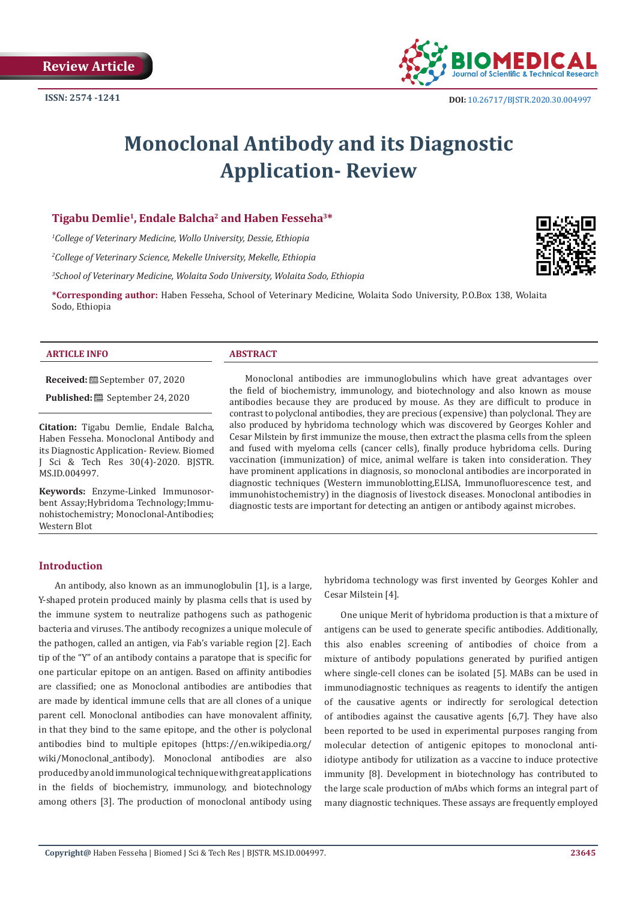

# **Monoclonal Antibody and its Diagnostic Application- Review**

# **Tigabu Demlie1, Endale Balcha2 and Haben Fesseha3\***

*1 College of Veterinary Medicine, Wollo University, Dessie, Ethiopia*

*2 College of Veterinary Science, Mekelle University, Mekelle, Ethiopia*

*3 School of Veterinary Medicine, Wolaita Sodo University, Wolaita Sodo, Ethiopia*

**\*Corresponding author:** Haben Fesseha, School of Veterinary Medicine, Wolaita Sodo University, P.O.Box 138, Wolaita Sodo, Ethiopia

#### **ARTICLE INFO ABSTRACT**

**Received:** September 07, 2020

**Published:** ■ September 24, 2020

**Citation:** Tigabu Demlie, Endale Balcha, Haben Fesseha. Monoclonal Antibody and its Diagnostic Application- Review. Biomed J Sci & Tech Res 30(4)-2020. BJSTR. MS.ID.004997.

**Keywords:** Enzyme-Linked Immunosorbent Assay;Hybridoma Technology;Immunohistochemistry; Monoclonal-Antibodies; Western Blot

Monoclonal antibodies are immunoglobulins which have great advantages over the field of biochemistry, immunology, and biotechnology and also known as mouse antibodies because they are produced by mouse. As they are difficult to produce in contrast to polyclonal antibodies, they are precious (expensive) than polyclonal. They are also produced by hybridoma technology which was discovered by Georges Kohler and Cesar Milstein by first immunize the mouse, then extract the plasma cells from the spleen and fused with myeloma cells (cancer cells), finally produce hybridoma cells. During vaccination (immunization) of mice, animal welfare is taken into consideration. They have prominent applications in diagnosis, so monoclonal antibodies are incorporated in diagnostic techniques (Western immunoblotting,ELISA, Immunofluorescence test, and immunohistochemistry) in the diagnosis of livestock diseases. Monoclonal antibodies in diagnostic tests are important for detecting an antigen or antibody against microbes.

#### **Introduction**

An antibody, also known as an immunoglobulin [1], is a large, Y-shaped protein produced mainly by plasma cells that is used by the immune system to neutralize pathogens such as pathogenic bacteria and viruses. The antibody recognizes a unique molecule of the pathogen, called an antigen, via Fab's variable region [2]. Each tip of the "Y" of an antibody contains a paratope that is specific for one particular epitope on an antigen. Based on affinity antibodies are classified; one as Monoclonal antibodies are antibodies that are made by identical immune cells that are all clones of a unique parent cell. Monoclonal antibodies can have monovalent affinity, in that they bind to the same epitope, and the other is polyclonal antibodies bind to multiple epitopes (https://en.wikipedia.org/ wiki/Monoclonal\_antibody). Monoclonal antibodies are also produced by an old immunological technique with great applications in the fields of biochemistry, immunology, and biotechnology among others [3]. The production of monoclonal antibody using

hybridoma technology was first invented by Georges Kohler and Cesar Milstein [4].

One unique Merit of hybridoma production is that a mixture of antigens can be used to generate specific antibodies. Additionally, this also enables screening of antibodies of choice from a mixture of antibody populations generated by purified antigen where single-cell clones can be isolated [5]. MABs can be used in immunodiagnostic techniques as reagents to identify the antigen of the causative agents or indirectly for serological detection of antibodies against the causative agents [6,7]. They have also been reported to be used in experimental purposes ranging from molecular detection of antigenic epitopes to monoclonal antiidiotype antibody for utilization as a vaccine to induce protective immunity [8]. Development in biotechnology has contributed to the large scale production of mAbs which forms an integral part of many diagnostic techniques. These assays are frequently employed

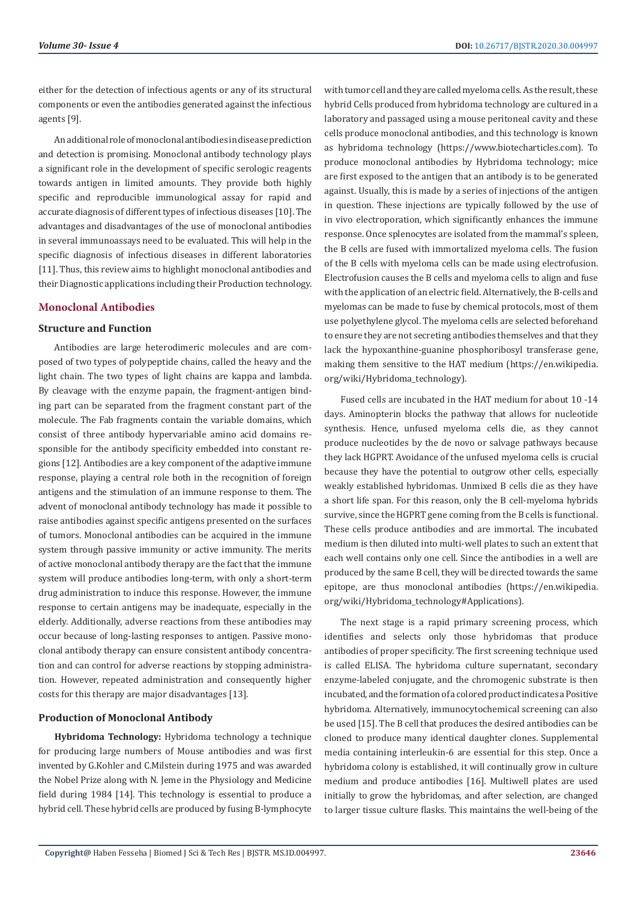either for the detection of infectious agents or any of its structural components or even the antibodies generated against the infectious agents [9].

An additional role of monoclonal antibodies in disease prediction and detection is promising. Monoclonal antibody technology plays a significant role in the development of specific serologic reagents towards antigen in limited amounts. They provide both highly specific and reproducible immunological assay for rapid and accurate diagnosis of different types of infectious diseases [10]. The advantages and disadvantages of the use of monoclonal antibodies in several immunoassays need to be evaluated. This will help in the specific diagnosis of infectious diseases in different laboratories [11]. Thus, this review aims to highlight monoclonal antibodies and their Diagnostic applications including their Production technology.

# **Monoclonal Antibodies**

# **Structure and Function**

Antibodies are large heterodimeric molecules and are composed of two types of polypeptide chains, called the heavy and the light chain. The two types of light chains are kappa and lambda. By cleavage with the enzyme papain, the fragment-antigen binding part can be separated from the fragment constant part of the molecule. The Fab fragments contain the variable domains, which consist of three antibody hypervariable amino acid domains responsible for the antibody specificity embedded into constant regions [12]. Antibodies are a key component of the adaptive immune response, playing a central role both in the recognition of foreign antigens and the stimulation of an immune response to them. The advent of monoclonal antibody technology has made it possible to raise antibodies against specific antigens presented on the surfaces of tumors. Monoclonal antibodies can be acquired in the immune system through passive immunity or active immunity. The merits of active monoclonal antibody therapy are the fact that the immune system will produce antibodies long-term, with only a short-term drug administration to induce this response. However, the immune response to certain antigens may be inadequate, especially in the elderly. Additionally, adverse reactions from these antibodies may occur because of long-lasting responses to antigen. Passive monoclonal antibody therapy can ensure consistent antibody concentration and can control for adverse reactions by stopping administration. However, repeated administration and consequently higher costs for this therapy are major disadvantages [13].

# **Production of Monoclonal Antibody**

**Hybridoma Technology:** Hybridoma technology a technique for producing large numbers of Mouse antibodies and was first invented by G.Kohler and C.Milstein during 1975 and was awarded the Nobel Prize along with N. Jeme in the Physiology and Medicine field during 1984 [14]. This technology is essential to produce a hybrid cell. These hybrid cells are produced by fusing B-lymphocyte

with tumor cell and they are called myeloma cells. As the result, these hybrid Cells produced from hybridoma technology are cultured in a laboratory and passaged using a mouse peritoneal cavity and these cells produce monoclonal antibodies, and this technology is known as hybridoma technology (https://www.biotecharticles.com). To produce monoclonal antibodies by Hybridoma technology; mice are first exposed to the antigen that an antibody is to be generated against. Usually, this is made by a series of injections of the antigen in question. These injections are typically followed by the use of in vivo electroporation, which significantly enhances the immune response. Once splenocytes are isolated from the mammal's spleen, the B cells are fused with immortalized myeloma cells. The fusion of the B cells with myeloma cells can be made using electrofusion. Electrofusion causes the B cells and myeloma cells to align and fuse with the application of an electric field. Alternatively, the B-cells and myelomas can be made to fuse by chemical protocols, most of them use polyethylene glycol. The myeloma cells are selected beforehand to ensure they are not secreting antibodies themselves and that they lack the hypoxanthine-guanine phosphoribosyl transferase gene, making them sensitive to the HAT medium (https://en.wikipedia. org/wiki/Hybridoma\_technology).

Fused cells are incubated in the HAT medium for about 10 -14 days. Aminopterin blocks the pathway that allows for nucleotide synthesis. Hence, unfused myeloma cells die, as they cannot produce nucleotides by the de novo or salvage pathways because they lack HGPRT. Avoidance of the unfused myeloma cells is crucial because they have the potential to outgrow other cells, especially weakly established hybridomas. Unmixed B cells die as they have a short life span. For this reason, only the B cell-myeloma hybrids survive, since the HGPRT gene coming from the B cells is functional. These cells produce antibodies and are immortal. The incubated medium is then diluted into multi-well plates to such an extent that each well contains only one cell. Since the antibodies in a well are produced by the same B cell, they will be directed towards the same epitope, are thus monoclonal antibodies (https://en.wikipedia. org/wiki/Hybridoma\_technology#Applications).

The next stage is a rapid primary screening process, which identifies and selects only those hybridomas that produce antibodies of proper specificity. The first screening technique used is called ELISA. The hybridoma culture supernatant, secondary enzyme-labeled conjugate, and the chromogenic substrate is then incubated, and the formation of a colored product indicates a Positive hybridoma. Alternatively, immunocytochemical screening can also be used [15]. The B cell that produces the desired antibodies can be cloned to produce many identical daughter clones. Supplemental media containing interleukin-6 are essential for this step. Once a hybridoma colony is established, it will continually grow in culture medium and produce antibodies [16]. Multiwell plates are used initially to grow the hybridomas, and after selection, are changed to larger tissue culture flasks. This maintains the well-being of the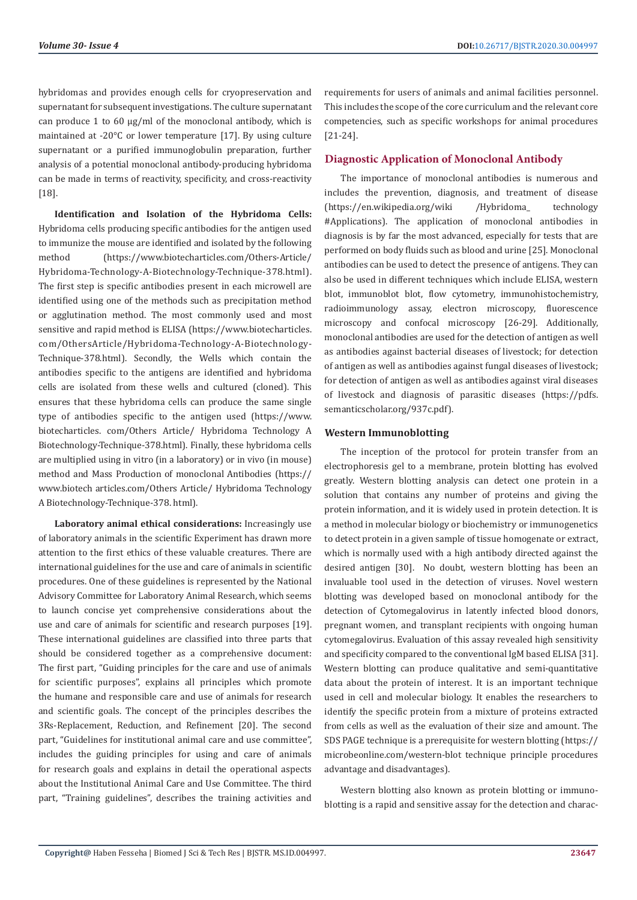hybridomas and provides enough cells for cryopreservation and supernatant for subsequent investigations. The culture supernatant can produce 1 to 60 μg/ml of the monoclonal antibody, which is maintained at -20°C or lower temperature [17]. By using culture supernatant or a purified immunoglobulin preparation, further analysis of a potential monoclonal antibody-producing hybridoma can be made in terms of reactivity, specificity, and cross-reactivity [18].

**Identification and Isolation of the Hybridoma Cells:**  Hybridoma cells producing specific antibodies for the antigen used to immunize the mouse are identified and isolated by the following method (https://www.biotecharticles.com/Others-Article/ Hybridoma-Technology-A-Biotechnology-Technique-378.html). The first step is specific antibodies present in each microwell are identified using one of the methods such as precipitation method or agglutination method. The most commonly used and most sensitive and rapid method is ELISA (https://www.biotecharticles. com/OthersArticle/Hybridoma-Technology-A-Biotechnology-Technique-378.html). Secondly, the Wells which contain the antibodies specific to the antigens are identified and hybridoma cells are isolated from these wells and cultured (cloned). This ensures that these hybridoma cells can produce the same single type of antibodies specific to the antigen used (https://www. biotecharticles. com/Others Article/ Hybridoma Technology A Biotechnology-Technique-378.html). Finally, these hybridoma cells are multiplied using in vitro (in a laboratory) or in vivo (in mouse) method and Mass Production of monoclonal Antibodies (https:// www.biotech articles.com/Others Article/ Hybridoma Technology A Biotechnology-Technique-378. html).

**Laboratory animal ethical considerations:** Increasingly use of laboratory animals in the scientific Experiment has drawn more attention to the first ethics of these valuable creatures. There are international guidelines for the use and care of animals in scientific procedures. One of these guidelines is represented by the National Advisory Committee for Laboratory Animal Research, which seems to launch concise yet comprehensive considerations about the use and care of animals for scientific and research purposes [19]. These international guidelines are classified into three parts that should be considered together as a comprehensive document: The first part, "Guiding principles for the care and use of animals for scientific purposes", explains all principles which promote the humane and responsible care and use of animals for research and scientific goals. The concept of the principles describes the 3Rs-Replacement, Reduction, and Refinement [20]. The second part, "Guidelines for institutional animal care and use committee", includes the guiding principles for using and care of animals for research goals and explains in detail the operational aspects about the Institutional Animal Care and Use Committee. The third part, "Training guidelines", describes the training activities and requirements for users of animals and animal facilities personnel. This includes the scope of the core curriculum and the relevant core competencies, such as specific workshops for animal procedures [21-24].

# **Diagnostic Application of Monoclonal Antibody**

The importance of monoclonal antibodies is numerous and includes the prevention, diagnosis, and treatment of disease (https://en.wikipedia.org/wiki /Hybridoma\_ technology #Applications). The application of monoclonal antibodies in diagnosis is by far the most advanced, especially for tests that are performed on body fluids such as blood and urine [25]. Monoclonal antibodies can be used to detect the presence of antigens. They can also be used in different techniques which include ELISA, western blot, immunoblot blot, flow cytometry, immunohistochemistry, radioimmunology assay, electron microscopy, fluorescence microscopy and confocal microscopy [26-29]. Additionally, monoclonal antibodies are used for the detection of antigen as well as antibodies against bacterial diseases of livestock; for detection of antigen as well as antibodies against fungal diseases of livestock; for detection of antigen as well as antibodies against viral diseases of livestock and diagnosis of parasitic diseases (https://pdfs. semanticscholar.org/937c.pdf).

#### **Western Immunoblotting**

The inception of the protocol for protein transfer from an electrophoresis gel to a membrane, protein blotting has evolved greatly. Western blotting analysis can detect one protein in a solution that contains any number of proteins and giving the protein information, and it is widely used in protein detection. It is a method in molecular biology or biochemistry or immunogenetics to detect protein in a given sample of tissue homogenate or extract, which is normally used with a high antibody directed against the desired antigen [30]. No doubt, western blotting has been an invaluable tool used in the detection of viruses. Novel western blotting was developed based on monoclonal antibody for the detection of Cytomegalovirus in latently infected blood donors, pregnant women, and transplant recipients with ongoing human cytomegalovirus. Evaluation of this assay revealed high sensitivity and specificity compared to the conventional IgM based ELISA [31]. Western blotting can produce qualitative and semi-quantitative data about the protein of interest. It is an important technique used in cell and molecular biology. It enables the researchers to identify the specific protein from a mixture of proteins extracted from cells as well as the evaluation of their size and amount. The SDS PAGE technique is a prerequisite for western blotting (https:// microbeonline.com/western-blot technique principle procedures advantage and disadvantages).

Western blotting also known as protein blotting or immunoblotting is a rapid and sensitive assay for the detection and charac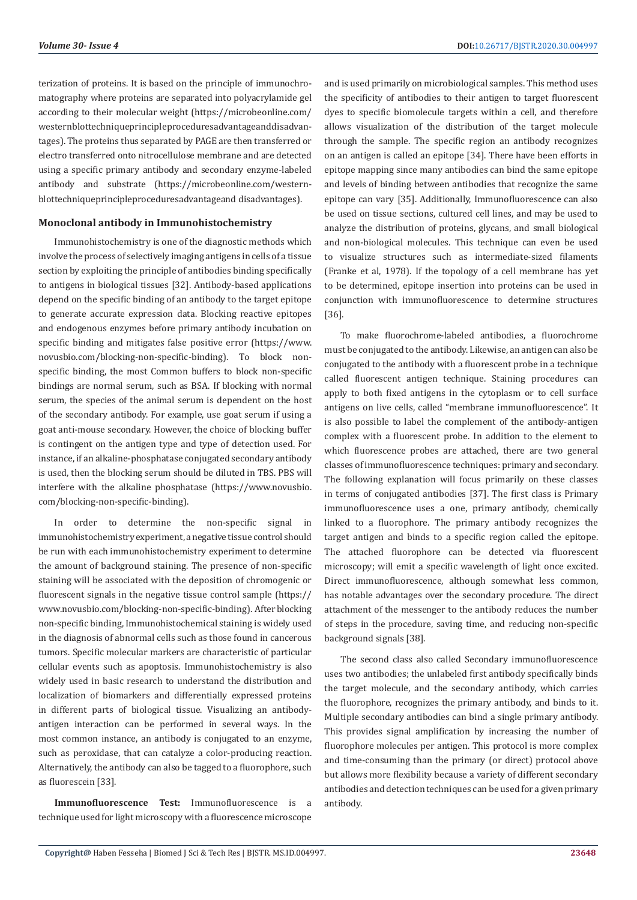terization of proteins. It is based on the principle of immunochromatography where proteins are separated into polyacrylamide gel according to their molecular weight (https://microbeonline.com/ westernblottechniqueprincipleproceduresadvantageanddisadvantages). The proteins thus separated by PAGE are then transferred or electro transferred onto nitrocellulose membrane and are detected using a specific primary antibody and secondary enzyme-labeled antibody and substrate (https://microbeonline.com/westernblottechniqueprincipleproceduresadvantageand disadvantages).

### **Monoclonal antibody in Immunohistochemistry**

Immunohistochemistry is one of the diagnostic methods which involve the process of selectively imaging antigens in cells of a tissue section by exploiting the principle of antibodies binding specifically to antigens in biological tissues [32]. Antibody-based applications depend on the specific binding of an antibody to the target epitope to generate accurate expression data. Blocking reactive epitopes and endogenous enzymes before primary antibody incubation on specific binding and mitigates false positive error (https://www. novusbio.com/blocking-non-specific-binding). To block nonspecific binding, the most Common buffers to block non-specific bindings are normal serum, such as BSA. If blocking with normal serum, the species of the animal serum is dependent on the host of the secondary antibody. For example, use goat serum if using a goat anti-mouse secondary. However, the choice of blocking buffer is contingent on the antigen type and type of detection used. For instance, if an alkaline-phosphatase conjugated secondary antibody is used, then the blocking serum should be diluted in TBS. PBS will interfere with the alkaline phosphatase (https://www.novusbio. com/blocking-non-specific-binding).

In order to determine the non-specific signal in immunohistochemistry experiment, a negative tissue control should be run with each immunohistochemistry experiment to determine the amount of background staining. The presence of non-specific staining will be associated with the deposition of chromogenic or fluorescent signals in the negative tissue control sample (https:// www.novusbio.com/blocking-non-specific-binding). After blocking non-specific binding, Immunohistochemical staining is widely used in the diagnosis of abnormal cells such as those found in cancerous tumors. Specific molecular markers are characteristic of particular cellular events such as apoptosis. Immunohistochemistry is also widely used in basic research to understand the distribution and localization of biomarkers and differentially expressed proteins in different parts of biological tissue. Visualizing an antibodyantigen interaction can be performed in several ways. In the most common instance, an antibody is conjugated to an enzyme, such as peroxidase, that can catalyze a color-producing reaction. Alternatively, the antibody can also be tagged to a fluorophore, such as fluorescein [33].

**Immunofluorescence Test:** Immunofluorescence is a technique used for light microscopy with a fluorescence microscope and is used primarily on microbiological samples. This method uses the specificity of antibodies to their antigen to target fluorescent dyes to specific biomolecule targets within a cell, and therefore allows visualization of the distribution of the target molecule through the sample. The specific region an antibody recognizes on an antigen is called an epitope [34]. There have been efforts in epitope mapping since many antibodies can bind the same epitope and levels of binding between antibodies that recognize the same epitope can vary [35]. Additionally, Immunofluorescence can also be used on tissue sections, cultured cell lines, and may be used to analyze the distribution of proteins, glycans, and small biological and non-biological molecules. This technique can even be used to visualize structures such as intermediate-sized filaments (Franke et al, 1978). If the topology of a cell membrane has yet to be determined, epitope insertion into proteins can be used in conjunction with immunofluorescence to determine structures [36].

To make fluorochrome-labeled antibodies, a fluorochrome must be conjugated to the antibody. Likewise, an antigen can also be conjugated to the antibody with a fluorescent probe in a technique called fluorescent antigen technique. Staining procedures can apply to both fixed antigens in the cytoplasm or to cell surface antigens on live cells, called "membrane immunofluorescence". It is also possible to label the complement of the antibody-antigen complex with a fluorescent probe. In addition to the element to which fluorescence probes are attached, there are two general classes of immunofluorescence techniques: primary and secondary. The following explanation will focus primarily on these classes in terms of conjugated antibodies [37]. The first class is Primary immunofluorescence uses a one, primary antibody, chemically linked to a fluorophore. The primary antibody recognizes the target antigen and binds to a specific region called the epitope. The attached fluorophore can be detected via fluorescent microscopy; will emit a specific wavelength of light once excited. Direct immunofluorescence, although somewhat less common, has notable advantages over the secondary procedure. The direct attachment of the messenger to the antibody reduces the number of steps in the procedure, saving time, and reducing non-specific background signals [38].

The second class also called Secondary immunofluorescence uses two antibodies; the unlabeled first antibody specifically binds the target molecule, and the secondary antibody, which carries the fluorophore, recognizes the primary antibody, and binds to it. Multiple secondary antibodies can bind a single primary antibody. This provides signal amplification by increasing the number of fluorophore molecules per antigen. This protocol is more complex and time-consuming than the primary (or direct) protocol above but allows more flexibility because a variety of different secondary antibodies and detection techniques can be used for a given primary antibody.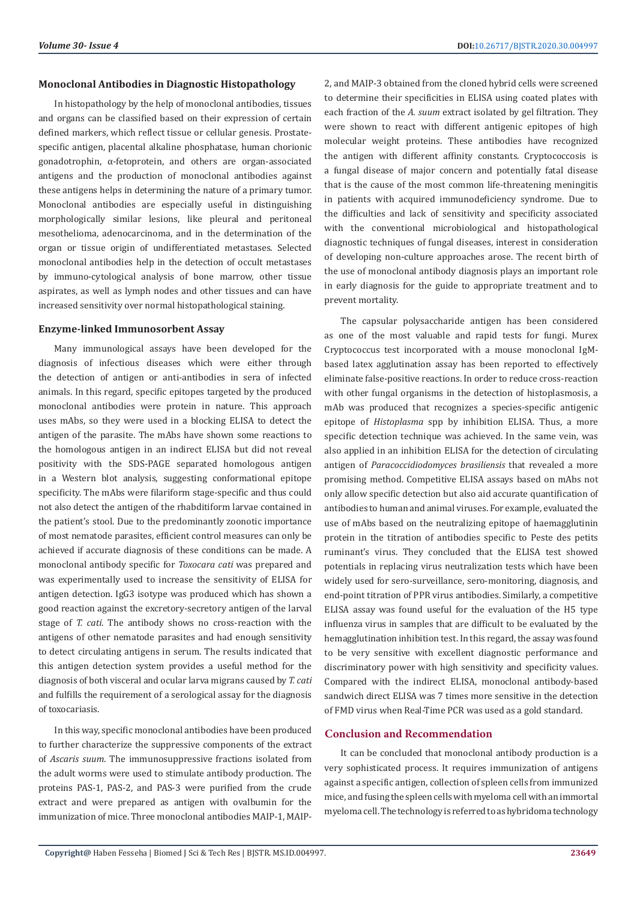#### **Monoclonal Antibodies in Diagnostic Histopathology**

In histopathology by the help of monoclonal antibodies, tissues and organs can be classified based on their expression of certain defined markers, which reflect tissue or cellular genesis. Prostatespecific antigen, placental alkaline phosphatase, human chorionic gonadotrophin, α-fetoprotein, and others are organ-associated antigens and the production of monoclonal antibodies against these antigens helps in determining the nature of a primary tumor. Monoclonal antibodies are especially useful in distinguishing morphologically similar lesions, like pleural and peritoneal mesothelioma, adenocarcinoma, and in the determination of the organ or tissue origin of undifferentiated metastases. Selected monoclonal antibodies help in the detection of occult metastases by immuno-cytological analysis of bone marrow, other tissue aspirates, as well as lymph nodes and other tissues and can have increased sensitivity over normal histopathological staining.

## **Enzyme-linked Immunosorbent Assay**

Many immunological assays have been developed for the diagnosis of infectious diseases which were either through the detection of antigen or anti-antibodies in sera of infected animals. In this regard, specific epitopes targeted by the produced monoclonal antibodies were protein in nature. This approach uses mAbs, so they were used in a blocking ELISA to detect the antigen of the parasite. The mAbs have shown some reactions to the homologous antigen in an indirect ELISA but did not reveal positivity with the SDS-PAGE separated homologous antigen in a Western blot analysis, suggesting conformational epitope specificity. The mAbs were filariform stage-specific and thus could not also detect the antigen of the rhabditiform larvae contained in the patient's stool. Due to the predominantly zoonotic importance of most nematode parasites, efficient control measures can only be achieved if accurate diagnosis of these conditions can be made. A monoclonal antibody specific for *Toxocara cati* was prepared and was experimentally used to increase the sensitivity of ELISA for antigen detection. IgG3 isotype was produced which has shown a good reaction against the excretory-secretory antigen of the larval stage of *T. cati*. The antibody shows no cross-reaction with the antigens of other nematode parasites and had enough sensitivity to detect circulating antigens in serum. The results indicated that this antigen detection system provides a useful method for the diagnosis of both visceral and ocular larva migrans caused by *T. cati*  and fulfills the requirement of a serological assay for the diagnosis of toxocariasis.

In this way, specific monoclonal antibodies have been produced to further characterize the suppressive components of the extract of *Ascaris suum*. The immunosuppressive fractions isolated from the adult worms were used to stimulate antibody production. The proteins PAS-1, PAS-2, and PAS-3 were purified from the crude extract and were prepared as antigen with ovalbumin for the immunization of mice. Three monoclonal antibodies MAIP-1, MAIP-

2, and MAIP-3 obtained from the cloned hybrid cells were screened to determine their specificities in ELISA using coated plates with each fraction of the *A. suum* extract isolated by gel filtration. They were shown to react with different antigenic epitopes of high molecular weight proteins. These antibodies have recognized the antigen with different affinity constants. Cryptococcosis is a fungal disease of major concern and potentially fatal disease that is the cause of the most common life-threatening meningitis in patients with acquired immunodeficiency syndrome. Due to the difficulties and lack of sensitivity and specificity associated with the conventional microbiological and histopathological diagnostic techniques of fungal diseases, interest in consideration of developing non-culture approaches arose. The recent birth of the use of monoclonal antibody diagnosis plays an important role in early diagnosis for the guide to appropriate treatment and to prevent mortality.

The capsular polysaccharide antigen has been considered as one of the most valuable and rapid tests for fungi. Murex Cryptococcus test incorporated with a mouse monoclonal IgMbased latex agglutination assay has been reported to effectively eliminate false-positive reactions. In order to reduce cross-reaction with other fungal organisms in the detection of histoplasmosis, a mAb was produced that recognizes a species-specific antigenic epitope of *Histoplasma* spp by inhibition ELISA. Thus, a more specific detection technique was achieved. In the same vein, was also applied in an inhibition ELISA for the detection of circulating antigen of *Paracoccidiodomyces brasiliensis* that revealed a more promising method. Competitive ELISA assays based on mAbs not only allow specific detection but also aid accurate quantification of antibodies to human and animal viruses. For example, evaluated the use of mAbs based on the neutralizing epitope of haemagglutinin protein in the titration of antibodies specific to Peste des petits ruminant's virus. They concluded that the ELISA test showed potentials in replacing virus neutralization tests which have been widely used for sero-surveillance, sero-monitoring, diagnosis, and end-point titration of PPR virus antibodies. Similarly, a competitive ELISA assay was found useful for the evaluation of the H5 type influenza virus in samples that are difficult to be evaluated by the hemagglutination inhibition test. In this regard, the assay was found to be very sensitive with excellent diagnostic performance and discriminatory power with high sensitivity and specificity values. Compared with the indirect ELISA, monoclonal antibody-based sandwich direct ELISA was 7 times more sensitive in the detection of FMD virus when Real-Time PCR was used as a gold standard.

#### **Conclusion and Recommendation**

It can be concluded that monoclonal antibody production is a very sophisticated process. It requires immunization of antigens against a specific antigen, collection of spleen cells from immunized mice, and fusing the spleen cells with myeloma cell with an immortal myeloma cell. The technology is referred to as hybridoma technology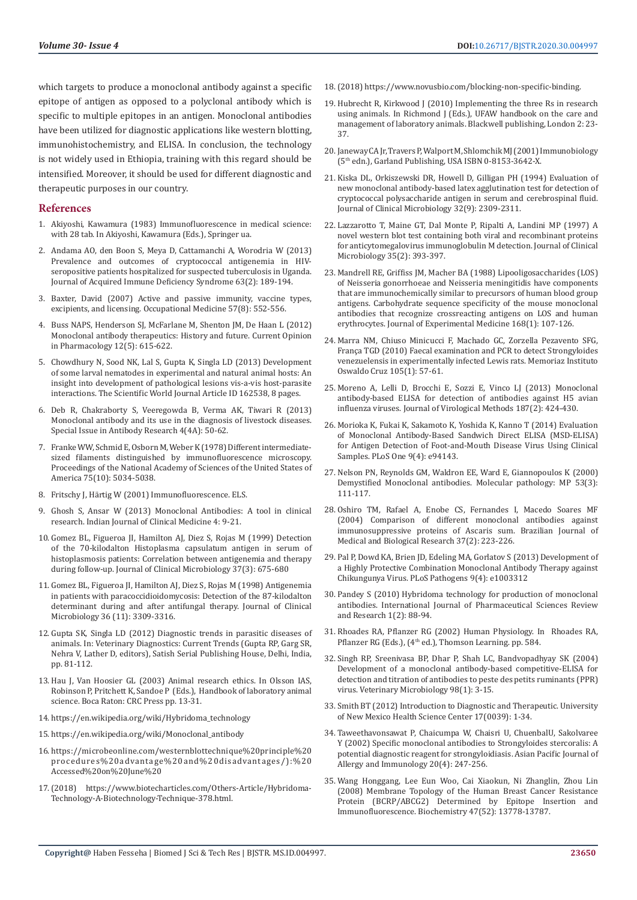which targets to produce a monoclonal antibody against a specific epitope of antigen as opposed to a polyclonal antibody which is specific to multiple epitopes in an antigen. Monoclonal antibodies have been utilized for diagnostic applications like western blotting, immunohistochemistry, and ELISA. In conclusion, the technology is not widely used in Ethiopia, training with this regard should be intensified. Moreover, it should be used for different diagnostic and therapeutic purposes in our country.

#### **References**

- 1. [Akiyoshi, Kawamura \(1983\) Immunofluorescence in medical science:](https://www.worldcat.org/title/immunofluorescence-in-medical-science-with-28-tab/oclc/643714056)  [with 28 tab. In Akiyoshi, Kawamura \(Eds.\), Springer ua.](https://www.worldcat.org/title/immunofluorescence-in-medical-science-with-28-tab/oclc/643714056)
- 2. [Andama AO, den Boon S, Meya D, Cattamanchi A, Worodria W \(2013\)](https://europepmc.org/article/pmc/pmc3779784)  [Prevalence and outcomes of cryptococcal antigenemia in HIV](https://europepmc.org/article/pmc/pmc3779784)[seropositive patients hospitalized for suspected tuberculosis in Uganda.](https://europepmc.org/article/pmc/pmc3779784)  [Journal of Acquired Immune Deficiency Syndrome 63\(2\): 189-194.](https://europepmc.org/article/pmc/pmc3779784)
- 3. [Baxter, David \(2007\) Active and passive immunity, vaccine types,](https://academic.oup.com/occmed/article/57/8/552/1474357)  [excipients, and licensing. Occupational Medicine 57\(8\): 552-556.](https://academic.oup.com/occmed/article/57/8/552/1474357)
- 4. [Buss NAPS, Henderson SJ, McFarlane M, Shenton JM, De Haan L \(2012\)](https://www.sciencedirect.com/science/article/abs/pii/S1471489212001488)  [Monoclonal antibody therapeutics: History and future. Current Opinion](https://www.sciencedirect.com/science/article/abs/pii/S1471489212001488)  [in Pharmacology 12\(5\): 615-622.](https://www.sciencedirect.com/science/article/abs/pii/S1471489212001488)
- 5. [Chowdhury N, Sood NK, Lal S, Gupta K, Singla LD \(2013\) Development](https://www.hindawi.com/journals/tswj/2013/162538/)  [of some larval nematodes in experimental and natural animal hosts: An](https://www.hindawi.com/journals/tswj/2013/162538/)  [insight into development of pathological lesions vis-a-vis host-parasite](https://www.hindawi.com/journals/tswj/2013/162538/)  [interactions. The Scientific World Journal Article ID 162538, 8 pages.](https://www.hindawi.com/journals/tswj/2013/162538/)
- 6. [Deb R, Chakraborty S, Veeregowda B, Verma AK, Tiwari R \(2013\)](https://www.scirp.org/journal/paperinformation.aspx?paperid=30620)  [Monoclonal antibody and its use in the diagnosis of livestock diseases.](https://www.scirp.org/journal/paperinformation.aspx?paperid=30620)  [Special Issue in Antibody Research 4\(4A\): 50-62.](https://www.scirp.org/journal/paperinformation.aspx?paperid=30620)
- 7. [Franke WW, Schmid E, Osborn M, Weber K \(1978\) Different intermediate](https://www.jstor.org/stable/69053)[sized filaments distinguished by immunofluorescence microscopy.](https://www.jstor.org/stable/69053)  [Proceedings of the National Academy of Sciences of the United States of](https://www.jstor.org/stable/69053)  [America 75\(10\): 5034-5038.](https://www.jstor.org/stable/69053)
- 8. [Fritschy J, Härtig W \(2001\) Immunofluorescence. ELS.](https://onlinelibrary.wiley.com/doi/abs/10.1038/npg.els.0001174)
- 9. [Ghosh S, Ansar W \(2013\) Monoclonal Antibodies: A tool in clinical](https://journals.sagepub.com/doi/full/10.4137/IJCM.S11968)  [research. Indian Journal of Clinical Medicine 4: 9-21.](https://journals.sagepub.com/doi/full/10.4137/IJCM.S11968)
- 10. [Gomez BL, Figueroa JI, Hamilton AJ, Diez S, Rojas M \(1999\) Detection](https://jcm.asm.org/content/37/3/675/figures-only)  [of the 70-kilodalton Histoplasma capsulatum antigen in serum of](https://jcm.asm.org/content/37/3/675/figures-only)  [histoplasmosis patients: Correlation between antigenemia and therapy](https://jcm.asm.org/content/37/3/675/figures-only)  [during follow-up. Journal of Clinical Microbiology 37\(3\): 675-680](https://jcm.asm.org/content/37/3/675/figures-only)
- 11. [Gomez BL, Figueroa JI, Hamilton AJ, Diez S, Rojas M \(1998\) Antigenemia](https://jcm.asm.org/content/36/11/3309)  [in patients with paracoccidioidomycosis: Detection of the 87-kilodalton](https://jcm.asm.org/content/36/11/3309)  [determinant during and after antifungal therapy. Journal of Clinical](https://jcm.asm.org/content/36/11/3309)  [Microbiology 36 \(11\): 3309-3316.](https://jcm.asm.org/content/36/11/3309)
- 12. [Gupta SK, Singla LD \(2012\) Diagnostic trends in parasitic diseases of](https://www.researchgate.net/publication/261361467_Diagnostic_trends_in_parasitic_diseases_of_animals)  [animals. In: Veterinary Diagnostics: Current Trends \(Gupta RP, Garg SR,](https://www.researchgate.net/publication/261361467_Diagnostic_trends_in_parasitic_diseases_of_animals)  [Nehra V, Lather D, editors\), Satish Serial Publishing House, Delhi, India,](https://www.researchgate.net/publication/261361467_Diagnostic_trends_in_parasitic_diseases_of_animals)  [pp. 81-112.](https://www.researchgate.net/publication/261361467_Diagnostic_trends_in_parasitic_diseases_of_animals)
- 13. Hau J, Van Hoosier GL (2003) Animal research ethics. In Olsson IAS, Robinson P, Pritchett K, Sandoe P (Eds.), Handbook of laboratory animal science. Boca Raton: CRC Press pp. 13-31.
- 14. [https://en.wikipedia.org/wiki/Hybridoma\\_technology](https://en.wikipedia.org/wiki/Hybridoma_technology;accessed_in_June_(2018))
- 15. [https://en.wikipedia.org/wiki/Monoclonal\\_antibody](https://en.wikipedia.org/wiki/Monoclonal_antibody:Accessed_in,_June_(2018))
- 16. [https://microbeonline.com/westernblottechnique%20principle%20](https://microbeonline.com/westernblottechnique%20principle%20procedures%20advantage%20and%20disadvantages/):%20Accessed%20on%20June%20%20(2018)) [procedures%20advantage%20and%20disadvantages/\):%20](https://microbeonline.com/westernblottechnique%20principle%20procedures%20advantage%20and%20disadvantages/):%20Accessed%20on%20June%20%20(2018)) [Accessed%20on%20June%20](https://microbeonline.com/westernblottechnique%20principle%20procedures%20advantage%20and%20disadvantages/):%20Accessed%20on%20June%20%20(2018))
- 17.(2018) https://www.biotecharticles.com/Others-Article/Hybridoma-Technology-A-Biotechnology-Technique-378.html.
- 18.(2018) https://www.novusbio.com/blocking-non-specific-binding.
- 19. Hubrecht R, Kirkwood J (2010) Implementing the three Rs in research using animals. In Richmond J (Eds.), UFAW handbook on the care and management of laboratory animals. Blackwell publishing, London 2: 23- 37.
- 20. Janeway CA Jr, Travers P, Walport M, Shlomchik MJ (2001) Immunobiology (5th edn.), Garland Publishing, USA ISBN 0-8153-3642-X.
- 21. [Kiska DL, Orkiszewski DR, Howell D, Gilligan PH \(1994\) Evaluation of](https://europepmc.org/article/pmc/pmc270476) [new monoclonal antibody-based latex agglutination test for detection of](https://europepmc.org/article/pmc/pmc270476) [cryptococcal polysaccharide antigen in serum and cerebrospinal fluid.](https://europepmc.org/article/pmc/pmc270476) [Journal of Clinical Microbiology 32\(9\): 2309-2311.](https://europepmc.org/article/pmc/pmc270476)
- 22. [Lazzarotto T, Maine GT, Dal Monte P, Ripalti A, Landini MP \(1997\) A](https://www.researchgate.net/publication/14204143_A_novel_Western_blot_test_containing_both_viral_and_recombinant_proteins_for_anticytomegalovirus_immunoglobulin_M_detection) [novel western blot test containing both viral and recombinant proteins](https://www.researchgate.net/publication/14204143_A_novel_Western_blot_test_containing_both_viral_and_recombinant_proteins_for_anticytomegalovirus_immunoglobulin_M_detection) [for anticytomegalovirus immunoglobulin M detection. Journal of Clinical](https://www.researchgate.net/publication/14204143_A_novel_Western_blot_test_containing_both_viral_and_recombinant_proteins_for_anticytomegalovirus_immunoglobulin_M_detection) [Microbiology 35\(2\): 393-397.](https://www.researchgate.net/publication/14204143_A_novel_Western_blot_test_containing_both_viral_and_recombinant_proteins_for_anticytomegalovirus_immunoglobulin_M_detection)
- 23. Mandrell RE, Griffiss JM, Macher BA (1988) Lipooligosaccharides (LOS) of Neisseria gonorrhoeae and Neisseria meningitidis have components that are immunochemically similar to precursors of human blood group antigens. Carbohydrate sequence specificity of the mouse monoclonal antibodies that recognize crossreacting antigens on LOS and human erythrocytes. Journal of Experimental Medicine 168(1): 107-126.
- 24. [Marra NM, Chiuso Minicucci F, Machado GC, Zorzella Pezavento SFG,](https://www.scielo.br/scielo.php?script=sci_arttext&pid=S0074-02762010000100008) [França TGD \(2010\) Faecal examination and PCR to detect Strongyloides](https://www.scielo.br/scielo.php?script=sci_arttext&pid=S0074-02762010000100008) [venezuelensis in experimentally infected Lewis rats. Memoriaz Instituto](https://www.scielo.br/scielo.php?script=sci_arttext&pid=S0074-02762010000100008) [Oswaldo Cruz 105\(1\): 57-61.](https://www.scielo.br/scielo.php?script=sci_arttext&pid=S0074-02762010000100008)
- 25. [Moreno A, Lelli D, Brocchi E, Sozzi E, Vinco LJ \(2013\) Monoclonal](https://www.sciencedirect.com/science/article/abs/pii/S0166093412003862) [antibody-based ELISA for detection of antibodies against H5 avian](https://www.sciencedirect.com/science/article/abs/pii/S0166093412003862) [influenza viruses. Journal of Virological Methods 187\(2\): 424-430.](https://www.sciencedirect.com/science/article/abs/pii/S0166093412003862)
- 26. [Morioka K, Fukai K, Sakamoto K, Yoshida K, Kanno T \(2014\) Evaluation](https://journals.plos.org/plosone/article?id=10.1371/journal.pone.0094143) [of Monoclonal Antibody-Based Sandwich Direct ELISA \(MSD-ELISA\)](https://journals.plos.org/plosone/article?id=10.1371/journal.pone.0094143) [for Antigen Detection of Foot-and-Mouth Disease Virus Using Clinical](https://journals.plos.org/plosone/article?id=10.1371/journal.pone.0094143) [Samples. PLoS One 9\(4\): e94143.](https://journals.plos.org/plosone/article?id=10.1371/journal.pone.0094143)
- 27. [Nelson PN, Reynolds GM, Waldron EE, Ward E, Giannopoulos K \(2000\)](https://www.researchgate.net/publication/246141656_Demystified_Monoclonal_antibodies) [Demystified Monoclonal antibodies. Molecular pathology: MP 53\(3\):](https://www.researchgate.net/publication/246141656_Demystified_Monoclonal_antibodies) [111-117.](https://www.researchgate.net/publication/246141656_Demystified_Monoclonal_antibodies)
- 28. [Oshiro TM, Rafael A, Enobe CS, Fernandes I, Macedo Soares MF](https://www.scielo.br/scielo.php?pid=S0100-879X2004000200009&script=sci_arttext&tlng=en) [\(2004\) Comparison of different monoclonal antibodies against](https://www.scielo.br/scielo.php?pid=S0100-879X2004000200009&script=sci_arttext&tlng=en) [immunosuppressive proteins of Ascaris sum. Brazilian Journal of](https://www.scielo.br/scielo.php?pid=S0100-879X2004000200009&script=sci_arttext&tlng=en) [Medical and Biological Research 37\(2\): 223-226.](https://www.scielo.br/scielo.php?pid=S0100-879X2004000200009&script=sci_arttext&tlng=en)
- 29. [Pal P, Dowd KA, Brien JD, Edeling MA, Gorlatov S \(2013\) Development of](https://journals.plos.org/plospathogens/article?id=10.1371/journal.ppat.1003312) [a Highly Protective Combination Monoclonal Antibody Therapy against](https://journals.plos.org/plospathogens/article?id=10.1371/journal.ppat.1003312) [Chikungunya Virus. PLoS Pathogens 9\(4\): e1003312](https://journals.plos.org/plospathogens/article?id=10.1371/journal.ppat.1003312)
- 30. [Pandey S \(2010\) Hybridoma technology for production of monoclonal](https://www.sinobiological.com/resource/antibody-technical/hybridoma-technology) [antibodies. International Journal of Pharmaceutical Sciences Review](https://www.sinobiological.com/resource/antibody-technical/hybridoma-technology) [and Research 1\(2\): 88-94.](https://www.sinobiological.com/resource/antibody-technical/hybridoma-technology)
- 31. Rhoades RA, Pflanzer RG (2002) Human Physiology. In Rhoades RA, Pflanzer RG (Eds.), (4<sup>th</sup> ed.), Thomson Learning. pp. 584.
- 32. [Singh RP, Sreenivasa BP, Dhar P, Shah LC, Bandvopadhyay SK \(2004\)](http://europepmc.org/article/med/14738776) [Development of a monoclonal antibody-based competitive-ELISA for](http://europepmc.org/article/med/14738776) [detection and titration of antibodies to peste des petits ruminants \(PPR\)](http://europepmc.org/article/med/14738776) [virus. Veterinary Microbiology 98\(1\): 3-15.](http://europepmc.org/article/med/14738776)
- 33. [Smith BT \(2012\) Introduction to Diagnostic and Therapeutic. University](https://pharmacyce.unm.edu/nuclear_program/freelessonfiles/vol17lesson1.pdf) [of New Mexico Health Science Center 17\(0039\): 1-34.](https://pharmacyce.unm.edu/nuclear_program/freelessonfiles/vol17lesson1.pdf)
- 34. [Taweethavonsawat P, Chaicumpa W, Chaisri U, ChuenbalU, Sakolvaree](https://www.researchgate.net/publication/7291126_Specific_monoclonal_antibodies_to_Strongyloides_stercoralis_A_potential_diagnostic_reagent_for_strongyloidiasis) [Y \(2002\) Specific monoclonal antibodies to Strongyloides stercoralis: A](https://www.researchgate.net/publication/7291126_Specific_monoclonal_antibodies_to_Strongyloides_stercoralis_A_potential_diagnostic_reagent_for_strongyloidiasis) [potential diagnostic reagent for strongyloidiasis. Asian Pacific Journal of](https://www.researchgate.net/publication/7291126_Specific_monoclonal_antibodies_to_Strongyloides_stercoralis_A_potential_diagnostic_reagent_for_strongyloidiasis) [Allergy and Immunology 20\(4\): 247-256.](https://www.researchgate.net/publication/7291126_Specific_monoclonal_antibodies_to_Strongyloides_stercoralis_A_potential_diagnostic_reagent_for_strongyloidiasis)
- 35. [Wang Honggang, Lee Eun Woo, Cai Xiaokun, Ni Zhanglin, Zhou Lin](https://pubs.acs.org/doi/10.1021/bi801644v) [\(2008\) Membrane Topology of the Human Breast Cancer Resistance](https://pubs.acs.org/doi/10.1021/bi801644v) [Protein \(BCRP/ABCG2\) Determined by Epitope Insertion and](https://pubs.acs.org/doi/10.1021/bi801644v) [Immunofluorescence. Biochemistry 47\(52\): 13778-13787.](https://pubs.acs.org/doi/10.1021/bi801644v)